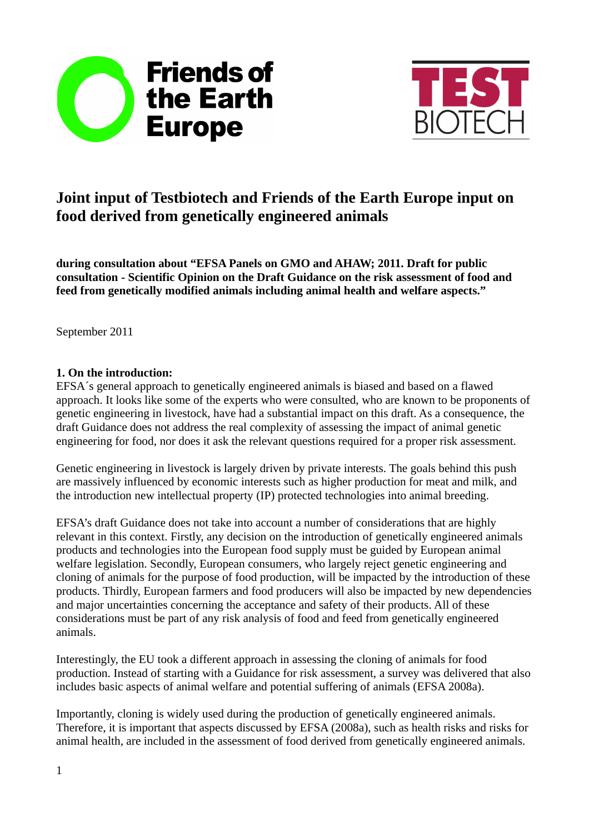



# **Joint input of Testbiotech and Friends of the Earth Europe input on food derived from genetically engineered animals**

**during consultation about "EFSA Panels on GMO and AHAW; 2011. Draft for public consultation - Scientific Opinion on the Draft Guidance on the risk assessment of food and feed from genetically modified animals including animal health and welfare aspects."** 

September 2011

## **1. On the introduction:**

EFSA´s general approach to genetically engineered animals is biased and based on a flawed approach. It looks like some of the experts who were consulted, who are known to be proponents of genetic engineering in livestock, have had a substantial impact on this draft. As a consequence, the draft Guidance does not address the real complexity of assessing the impact of animal genetic engineering for food, nor does it ask the relevant questions required for a proper risk assessment.

Genetic engineering in livestock is largely driven by private interests. The goals behind this push are massively influenced by economic interests such as higher production for meat and milk, and the introduction new intellectual property (IP) protected technologies into animal breeding.

EFSA's draft Guidance does not take into account a number of considerations that are highly relevant in this context. Firstly, any decision on the introduction of genetically engineered animals products and technologies into the European food supply must be guided by European animal welfare legislation. Secondly, European consumers, who largely reject genetic engineering and cloning of animals for the purpose of food production, will be impacted by the introduction of these products. Thirdly, European farmers and food producers will also be impacted by new dependencies and major uncertainties concerning the acceptance and safety of their products. All of these considerations must be part of any risk analysis of food and feed from genetically engineered animals.

Interestingly, the EU took a different approach in assessing the cloning of animals for food production. Instead of starting with a Guidance for risk assessment, a survey was delivered that also includes basic aspects of animal welfare and potential suffering of animals (EFSA 2008a).

Importantly, cloning is widely used during the production of genetically engineered animals. Therefore, it is important that aspects discussed by EFSA (2008a), such as health risks and risks for animal health, are included in the assessment of food derived from genetically engineered animals.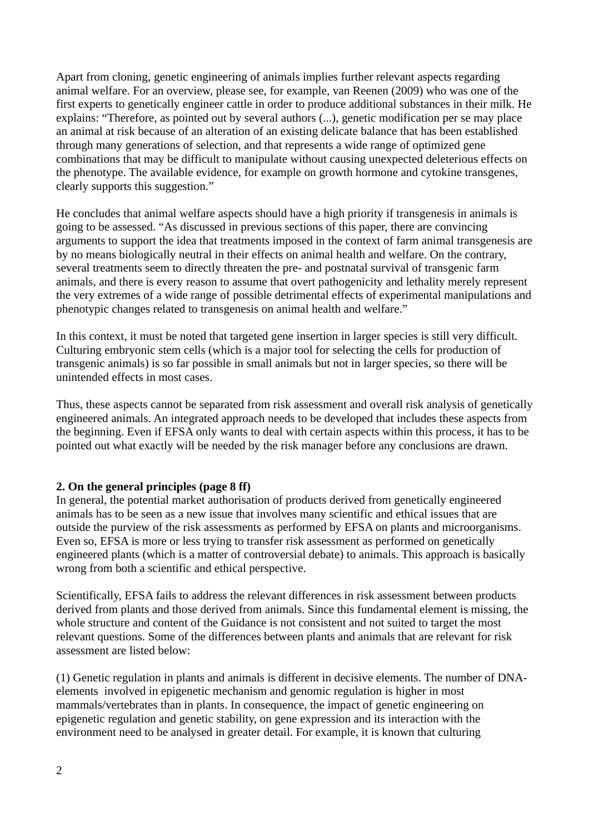Apart from cloning, genetic engineering of animals implies further relevant aspects regarding animal welfare. For an overview, please see, for example, van Reenen (2009) who was one of the first experts to genetically engineer cattle in order to produce additional substances in their milk. He explains: "Therefore, as pointed out by several authors (...), genetic modification per se may place an animal at risk because of an alteration of an existing delicate balance that has been established through many generations of selection, and that represents a wide range of optimized gene combinations that may be difficult to manipulate without causing unexpected deleterious effects on the phenotype. The available evidence, for example on growth hormone and cytokine transgenes, clearly supports this suggestion."

He concludes that animal welfare aspects should have a high priority if transgenesis in animals is going to be assessed. "As discussed in previous sections of this paper, there are convincing arguments to support the idea that treatments imposed in the context of farm animal transgenesis are by no means biologically neutral in their effects on animal health and welfare. On the contrary, several treatments seem to directly threaten the pre- and postnatal survival of transgenic farm animals, and there is every reason to assume that overt pathogenicity and lethality merely represent the very extremes of a wide range of possible detrimental effects of experimental manipulations and phenotypic changes related to transgenesis on animal health and welfare."

In this context, it must be noted that targeted gene insertion in larger species is still very difficult. Culturing embryonic stem cells (which is a major tool for selecting the cells for production of transgenic animals) is so far possible in small animals but not in larger species, so there will be unintended effects in most cases.

Thus, these aspects cannot be separated from risk assessment and overall risk analysis of genetically engineered animals. An integrated approach needs to be developed that includes these aspects from the beginning. Even if EFSA only wants to deal with certain aspects within this process, it has to be pointed out what exactly will be needed by the risk manager before any conclusions are drawn.

# **2. On the general principles (page 8 ff)**

In general, the potential market authorisation of products derived from genetically engineered animals has to be seen as a new issue that involves many scientific and ethical issues that are outside the purview of the risk assessments as performed by EFSA on plants and microorganisms. Even so, EFSA is more or less trying to transfer risk assessment as performed on genetically engineered plants (which is a matter of controversial debate) to animals. This approach is basically wrong from both a scientific and ethical perspective.

Scientifically, EFSA fails to address the relevant differences in risk assessment between products derived from plants and those derived from animals. Since this fundamental element is missing, the whole structure and content of the Guidance is not consistent and not suited to target the most relevant questions. Some of the differences between plants and animals that are relevant for risk assessment are listed below:

(1) Genetic regulation in plants and animals is different in decisive elements. The number of DNAelements involved in epigenetic mechanism and genomic regulation is higher in most mammals/vertebrates than in plants. In consequence, the impact of genetic engineering on epigenetic regulation and genetic stability, on gene expression and its interaction with the environment need to be analysed in greater detail. For example, it is known that culturing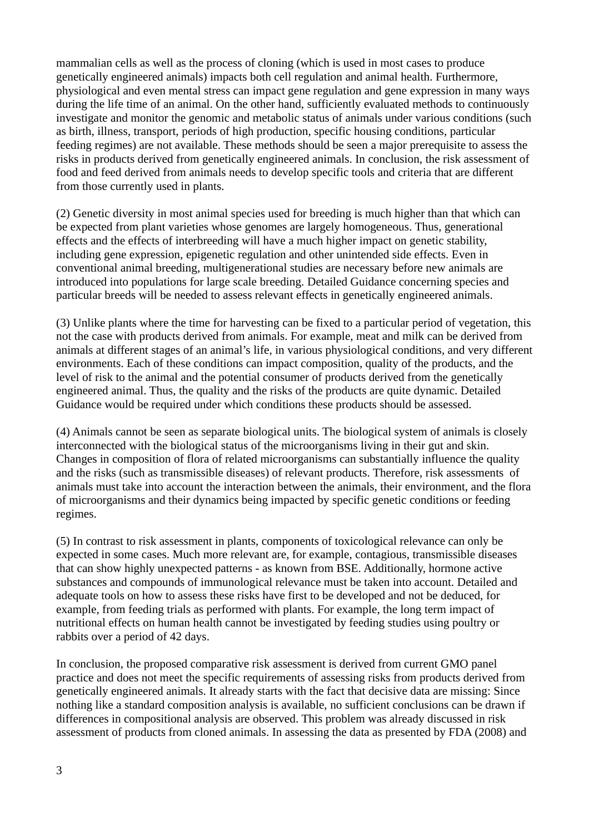mammalian cells as well as the process of cloning (which is used in most cases to produce genetically engineered animals) impacts both cell regulation and animal health. Furthermore, physiological and even mental stress can impact gene regulation and gene expression in many ways during the life time of an animal. On the other hand, sufficiently evaluated methods to continuously investigate and monitor the genomic and metabolic status of animals under various conditions (such as birth, illness, transport, periods of high production, specific housing conditions, particular feeding regimes) are not available. These methods should be seen a major prerequisite to assess the risks in products derived from genetically engineered animals. In conclusion, the risk assessment of food and feed derived from animals needs to develop specific tools and criteria that are different from those currently used in plants.

(2) Genetic diversity in most animal species used for breeding is much higher than that which can be expected from plant varieties whose genomes are largely homogeneous. Thus, generational effects and the effects of interbreeding will have a much higher impact on genetic stability, including gene expression, epigenetic regulation and other unintended side effects. Even in conventional animal breeding, multigenerational studies are necessary before new animals are introduced into populations for large scale breeding. Detailed Guidance concerning species and particular breeds will be needed to assess relevant effects in genetically engineered animals.

(3) Unlike plants where the time for harvesting can be fixed to a particular period of vegetation, this not the case with products derived from animals. For example, meat and milk can be derived from animals at different stages of an animal's life, in various physiological conditions, and very different environments. Each of these conditions can impact composition, quality of the products, and the level of risk to the animal and the potential consumer of products derived from the genetically engineered animal. Thus, the quality and the risks of the products are quite dynamic. Detailed Guidance would be required under which conditions these products should be assessed.

(4) Animals cannot be seen as separate biological units. The biological system of animals is closely interconnected with the biological status of the microorganisms living in their gut and skin. Changes in composition of flora of related microorganisms can substantially influence the quality and the risks (such as transmissible diseases) of relevant products. Therefore, risk assessments of animals must take into account the interaction between the animals, their environment, and the flora of microorganisms and their dynamics being impacted by specific genetic conditions or feeding regimes.

(5) In contrast to risk assessment in plants, components of toxicological relevance can only be expected in some cases. Much more relevant are, for example, contagious, transmissible diseases that can show highly unexpected patterns - as known from BSE. Additionally, hormone active substances and compounds of immunological relevance must be taken into account. Detailed and adequate tools on how to assess these risks have first to be developed and not be deduced, for example, from feeding trials as performed with plants. For example, the long term impact of nutritional effects on human health cannot be investigated by feeding studies using poultry or rabbits over a period of 42 days.

In conclusion, the proposed comparative risk assessment is derived from current GMO panel practice and does not meet the specific requirements of assessing risks from products derived from genetically engineered animals. It already starts with the fact that decisive data are missing: Since nothing like a standard composition analysis is available, no sufficient conclusions can be drawn if differences in compositional analysis are observed. This problem was already discussed in risk assessment of products from cloned animals. In assessing the data as presented by FDA (2008) and